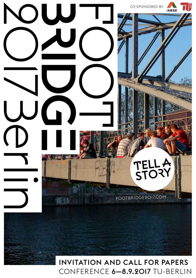

# CONFERENCE **6–8.9.2017** TU-BERLIN INVITATION AND CALL FOR PAPERS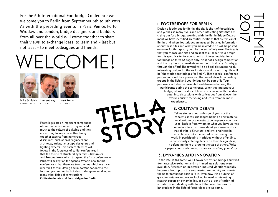For the 6th International Footbridge Conference we welcome you to Berlin from September 6th to 8th 2017. As with the preceding events in Paris, Venice, Porto, Wroclaw and London, bridge designers and builders from all over the world will come together to share their views, to exchange ideas, to learn and – last but not least – to meet colleagues and friends.

# $\Gamma$   $\Gamma$



Co-chair



Mike Schlaich Chair of the SC

Laurent Ney José Romo Co-chair

Footbridges are an important component of our built environment, they can add much to the culture of building and they are exciting to work on as they bring together experts from numerous disciplines, such as civil engineers and architects, artists, landscape designers and lighting experts. This sixth conference will follow in the footsteps of earlier conferences in that the theme of structural dynamics – **Dynamics and Innovation** – which triggered the first conference in Paris, will be kept on the agenda. What is new to this conference is that there are two themes which we have identified as stimulating and important not only to the footbridge community, but also to designers working in many other fields of construction: **Cultivate debate** and **Footbridges for Berlin**.

#### 1. Footbridges for Berlin

Design a footbridge for Berlin; the city is short of footbridges and yet has so many rivers and other interesting sites that are crying out for a bridge. Working with the Berlin Bridge Department we have identified six central locations that are typical of Berlin, and where footbridges are needed. Detailed information about these sites and what you are invited to do will be posted on www.footbridge2017.com by the end of July 2016. The idea is that you choose one site and present as a "paper" your design for this specific site; i.e. you submit an interesting idea for a footbridge on three A4 pages only.This is not a design competition and the city has no immediate intention to build any! So why go through the effort? The reward will be a book documenting all interesting bridges for the six locations and its working title will be "the world's footbridges for Berlin". These special conference proceedings will be a precious collection of ideas from leading experts in the field and your bridge can be part of it. Your proposals will also be presented and discussed among the participants during the conference. When you present your bridge, tell us the story of how you came up with the idea,

enter into discussions with colleagues from all over the world, educate the young and learn from the more experienced.

#### 2. Cultivate debate

Tell us stories about a design of yours or the concepts, ideas, challenges behind a new material, an algorithm or a construction sequence you have used. Explain from whom or what you have learned or enter into a discourse about your own work or that of others. Structural and civil engineers in particular are not experienced in discussing their work, in participating in critique without offending, in consciously entering debate on their design ideas, in defending them or arguing the case of others. Write a paper about such issues; inspire us by *telling your story*.

### 3. Dynamics and Innovation

In the late 1990s some well-known pedestrian bridges suffered from excessive excitation and no immediate solutions were available. Research on pedestrian-induced vibrations rapidly became a hot topic in the engineering community and a main theme for footbridge 2002 in Paris. Even now it is a subject of great importance and we are looking forward to interesting research papers on dynamics issues such as identification of vibrations and dealing with them. Other contributions on innovations in the field of footbridges are welcome.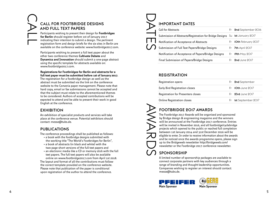# CALL FOR FOOTBRIDGE DE AND FULL IEAT PA CALL

Participants wishing to present their design for **Footbridges for Berlin** should register before 1st of January 2017 indicating their intention to submit a design. The pertinent registration form and design briefs for the six sites in Berlin are available on the conference website: www.footbridge2017.com.

Participants wishing to present a full text paper about the other two conference themes **Cultivate Debate** and **Dynamics and Innovation** should submit a one-page abstract using the specific template for abstracts available on: www.footbridge2017.com.

#### **Registrations for Footbridges for Berlin and abstracts for a full text paper must be submitted before 1st of January 2017.**

The registration for a footbridge design as well as the abstract must be submitted via the link on the conference website to the Converia paper management. Please note that hard copy, email or fax submissions cannot be accepted and that the subject must relate to the aforementioned themes to be considered. Authors of accepted contributions will be expected to attend and be able to present their work in good English at the conference.

# EXHIBI I

An exhibition of specialist products and services will take place at the conference venue. Potential exhibitors should contact: messe@tubs.de.

### **PUBLICATIONS**

The conference proceedings shall be published as follows:

- a book with the footbridge designs submitted with the working title "The World's Footbridges for Berlin",
- a book of abstracts (in black and white) with the two-page short versions of the full text papers and
- an electronic media like a CD or memory stick with the full text papers. The full text papers will also be available online on www.footbridge2017.com from April 1st 2018.

The layout and format of all the contributions must follow the correct template provided on the conference website. Please note that publication of the paper is conditional upon registration of the author to attend the conference.

| <b>IMPORTANT DATES</b>                                                                                                                                                                                                                                                                                                                                                                                                                                                                                                                                                                                                                                                            |    |                           |  |
|-----------------------------------------------------------------------------------------------------------------------------------------------------------------------------------------------------------------------------------------------------------------------------------------------------------------------------------------------------------------------------------------------------------------------------------------------------------------------------------------------------------------------------------------------------------------------------------------------------------------------------------------------------------------------------------|----|---------------------------|--|
| <b>Call for Abstracts</b>                                                                                                                                                                                                                                                                                                                                                                                                                                                                                                                                                                                                                                                         | Fr | 2nd September 2016        |  |
| Submission of Abstracts/Registration for Bridge Designs                                                                                                                                                                                                                                                                                                                                                                                                                                                                                                                                                                                                                           |    | Su Ist January 2017       |  |
| Notification of Acceptance of Abstracts                                                                                                                                                                                                                                                                                                                                                                                                                                                                                                                                                                                                                                           | Fr | <b>IOth February 2017</b> |  |
| Submission of Full Text Papers/Bridge Designs                                                                                                                                                                                                                                                                                                                                                                                                                                                                                                                                                                                                                                     | Fr | <b>7th</b> April 2017     |  |
| Notification of Acceptance of Papers/Bridge Designs                                                                                                                                                                                                                                                                                                                                                                                                                                                                                                                                                                                                                               | Fr | <b>19th</b> May 2017      |  |
| Final Submission of Papers/Bridge Designs                                                                                                                                                                                                                                                                                                                                                                                                                                                                                                                                                                                                                                         | Fr | 2nd June 2017             |  |
| <b>REGISTRATION</b><br>Registration opens                                                                                                                                                                                                                                                                                                                                                                                                                                                                                                                                                                                                                                         | Fr | 2nd September             |  |
|                                                                                                                                                                                                                                                                                                                                                                                                                                                                                                                                                                                                                                                                                   |    |                           |  |
| Early Bird Registration closes                                                                                                                                                                                                                                                                                                                                                                                                                                                                                                                                                                                                                                                    | Fr | <b>IOth June 2017</b>     |  |
| Registration for Presenters closes                                                                                                                                                                                                                                                                                                                                                                                                                                                                                                                                                                                                                                                | Fr | 23rd June $2O17$          |  |
| <b>Online Registration closes</b>                                                                                                                                                                                                                                                                                                                                                                                                                                                                                                                                                                                                                                                 | Fr | <b>Ist</b> September 2017 |  |
| <b>FOOTBRIDGE 2017 AWARDS</b><br>The Footbridge 2017 Awards will be organised and sponsored<br>by Bridge design & engineering magazine and the winners<br>will be announced at the Footbridge 2017 conference. Entries<br>will be invited in November 2016, and all footbridge/cyclebridge<br>projects which opened to the public or reached full completion<br>between 1st January 2014 and 31st December 2016 will be<br>eligible to enter. In order to receive information about the awards<br>and be noticed once the awards programme opens, please sign<br>up to the Bridgeweb newsletter http://bridgeweb.com/<br>newsletter or the Footbridge 2017 conference newsletter. |    |                           |  |
| <b>SPONSORSHIP</b><br>A limited number of sponsorship packages are available to<br>connect corporate partners with key audiences through a<br>range of branding and thought-leadership opportunities.<br>Companies wishing to register an interest should contact:<br>messe@tubs.de.                                                                                                                                                                                                                                                                                                                                                                                              |    |                           |  |

# **REGISTRATION**

| Registration opens                    | Fr 2nd September      |
|---------------------------------------|-----------------------|
| <b>Early Bird Registration closes</b> | Fr $10th$ June $2017$ |
| Registration for Presenters closes    | Fr $23rd$ June $2017$ |
| Online Registration closes            | Fr Ist September 2017 |

# FOOTBRIDGE 2017 AWA

# $\bigcap$  Sponsorship



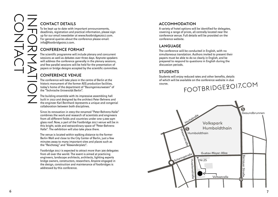# Contact details

To be kept up to date with important announcements, deadlines, registration and practical information, please sign up for our email newsletter at [www.footbridges2017.com](http://www.footbridges2017.com). For general queries about the conference please email: info@footbridge2017.com.

# CONFERENCE FORMA

The scientific programme will include plenary and concurrent sessions as well as debates over three days. Keynote speakers will address the conference generally in the plenary sessions, and few parallel sessions will be held for the presentation of papers or bridge designs accepted by the scientific committee.

# Conference venue

The conference will take place in the centre of Berlin at the historic monument of the former AEG production facilities, today's home of the department of "Bauingenieurwesen" of the "Technische Universität Berlin".

The building ensemble with its impressive assembling hall built in 1912 and designed by the architect Peter Behrens and the engineer Karl Bernhard represents a unique and congenial collaboration between both disciplines.

Since its renovation in 2003 the renamed "Peter-Behrens-Halle" combines the work and research of scientists and engineers from all different fields and countries under one 5.000 sqm glass roof. Now, a part of the Footbridge 2017 venue will be in this bright, wide and extraordinary space of "Peter-Behrens-Halle". The exhibition will also take place there.

The venue is located within walking distance to the former Berlin Wall and close to the City Center of Berlin, just a few minutes away to many important sites and places such as the "Reichstag" and "Alexanderplatz".

Footbridge 2017 is expected to attract more than 300 delegates from all over the world. The event is aimed at practicing engineers, landscape architects, architects, lighting experts bridge owners, constructors, researchers. Anyone engaged in the design, construction and maintenance of footbridges is addressed by this conference.

### Accommodation

A variety of hotel options will be identified for delegates, covering a range of prices, all centrally located near the conference venue. Full details will be provided on the conference website.

### Language

The conference will be conducted in English, with no simultaneous translation. Authors invited to present their papers must be able to do so clearly in English, and be prepared to respond to questions in English during the discussion periods.

# **STUDENTS**

Students will enjoy reduced rates and other benefits, details of which will be available on the conference website in due course.